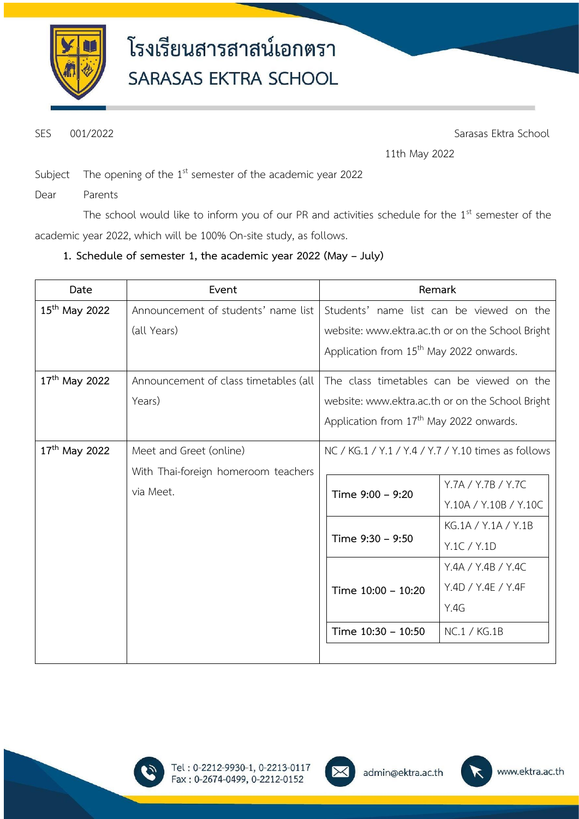

SES 001/2022 Sarasas Ektra School

11th May 2022

Subject The opening of the  $1<sup>st</sup>$  semester of the academic year 2022

Dear Parents

The school would like to inform you of our PR and activities schedule for the  $1<sup>st</sup>$  semester of the academic year 2022, which will be 100% On-site study, as follows.

### **1. Schedule of semester 1, the academic year 2022 (May – July)**

| Date                      | Event                                            |                                                     | Remark                                           |
|---------------------------|--------------------------------------------------|-----------------------------------------------------|--------------------------------------------------|
| $15^{th}$ May 2022        | Announcement of students' name list              |                                                     | Students' name list can be viewed on the         |
|                           | (all Years)                                      |                                                     | website: www.ektra.ac.th or on the School Bright |
|                           |                                                  | Application from 15 <sup>th</sup> May 2022 onwards. |                                                  |
| 17 <sup>th</sup> May 2022 | Announcement of class timetables (all            |                                                     | The class timetables can be viewed on the        |
|                           | Years)                                           |                                                     | website: www.ektra.ac.th or on the School Bright |
|                           |                                                  | Application from 17 <sup>th</sup> May 2022 onwards. |                                                  |
| $17^{th}$ May 2022        | Meet and Greet (online)                          | NC / KG.1 / Y.1 / Y.4 / Y.7 / Y.10 times as follows |                                                  |
|                           | With Thai-foreign homeroom teachers<br>via Meet. |                                                     |                                                  |
|                           |                                                  | Time 9:00 - 9:20                                    | Y.7A / Y.7B / Y.7C                               |
|                           |                                                  |                                                     | Y.10A / Y.10B / Y.10C                            |
|                           |                                                  | Time 9:30 - 9:50                                    | KG.1A / Y.1A / Y.1B                              |
|                           |                                                  |                                                     | Y.1C / Y.1D                                      |
|                           |                                                  | Time 10:00 - 10:20                                  | Y.4A / Y.4B / Y.4C                               |
|                           |                                                  |                                                     | Y.4D / Y.4E / Y.4F                               |
|                           |                                                  |                                                     | Y.4G                                             |
|                           |                                                  | Time 10:30 - 10:50                                  | NC.1 / KG.1B                                     |
|                           |                                                  |                                                     |                                                  |





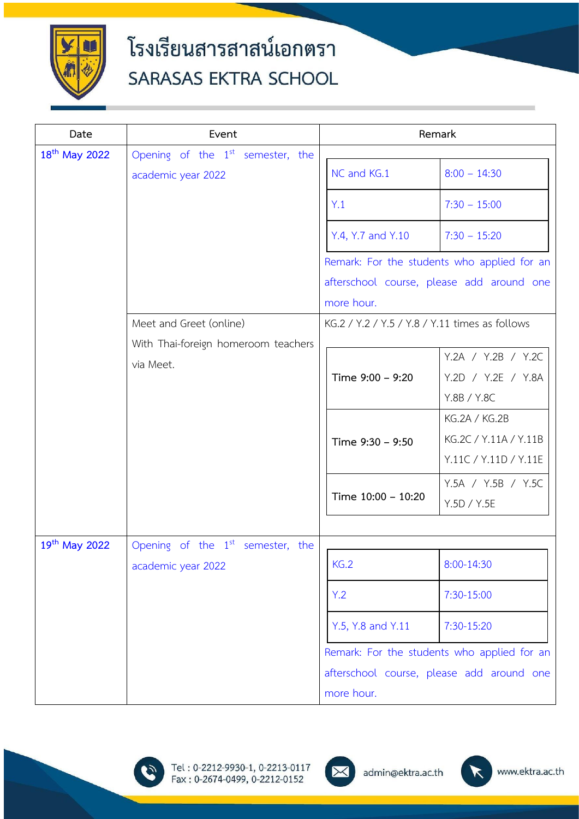

| Date                      | Event                               |                                                | Remark                                      |
|---------------------------|-------------------------------------|------------------------------------------------|---------------------------------------------|
| 18 <sup>th</sup> May 2022 | Opening of the $1st$ semester, the  |                                                |                                             |
|                           | academic year 2022                  | NC and KG.1                                    | $8:00 - 14:30$                              |
|                           |                                     | Y.1                                            | $7:30 - 15:00$                              |
|                           |                                     | Y.4, Y.7 and Y.10                              | $7:30 - 15:20$                              |
|                           |                                     |                                                | Remark: For the students who applied for an |
|                           |                                     |                                                | afterschool course, please add around one   |
|                           |                                     | more hour.                                     |                                             |
|                           | Meet and Greet (online)             | KG.2 / Y.2 / Y.5 / Y.8 / Y.11 times as follows |                                             |
|                           | With Thai-foreign homeroom teachers |                                                |                                             |
|                           | via Meet.                           |                                                | Y.2A / Y.2B / Y.2C                          |
|                           |                                     | Time 9:00 - 9:20                               | Y.2D / Y.2E / Y.8A                          |
|                           |                                     |                                                | Y.8B / Y.8C                                 |
|                           |                                     |                                                | KG.2A / KG.2B                               |
|                           |                                     | Time 9:30 - 9:50                               | KG.2C / Y.11A / Y.11B                       |
|                           |                                     |                                                | Y.11C / Y.11D / Y.11E                       |
|                           |                                     | Time 10:00 - 10:20                             | Y.5A / Y.5B / Y.5C                          |
|                           |                                     |                                                | Y.5D / Y.5E                                 |
|                           |                                     |                                                |                                             |
| 19th May 2022             | Opening of the $1st$ semester, the  |                                                |                                             |
|                           | academic year 2022                  | KG.2                                           | 8:00-14:30                                  |
|                           |                                     | Y.2                                            | 7:30-15:00                                  |
|                           |                                     | Y.5, Y.8 and Y.11                              | 7:30-15:20                                  |
|                           |                                     |                                                | Remark: For the students who applied for an |
|                           |                                     |                                                | afterschool course, please add around one   |
|                           |                                     | more hour.                                     |                                             |





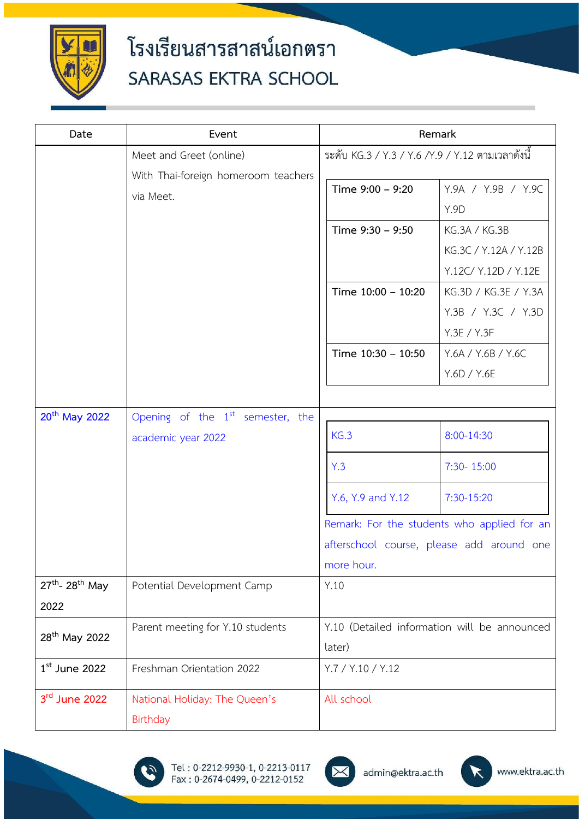

| Date                             | Event                               | Remark                                           |                                             |
|----------------------------------|-------------------------------------|--------------------------------------------------|---------------------------------------------|
|                                  | Meet and Greet (online)             | ระดับ KG.3 / Y.3 / Y.6 /Y.9 / Y.12 ตามเวลาดังนี้ |                                             |
|                                  | With Thai-foreign homeroom teachers |                                                  |                                             |
|                                  | via Meet.                           | Time 9:00 - 9:20                                 | Y.9A / Y.9B / Y.9C                          |
|                                  |                                     |                                                  | <b>Y.9D</b>                                 |
|                                  |                                     | Time 9:30 - 9:50                                 | KG.3A / KG.3B                               |
|                                  |                                     |                                                  | KG.3C / Y.12A / Y.12B                       |
|                                  |                                     |                                                  | Y.12C/ Y.12D / Y.12E                        |
|                                  |                                     | Time 10:00 - 10:20                               | KG.3D / KG.3E / Y.3A                        |
|                                  |                                     |                                                  | Y.3B / Y.3C / Y.3D                          |
|                                  |                                     |                                                  | Y.3E / Y.3F                                 |
|                                  |                                     | Time 10:30 - 10:50                               | Y.6A / Y.6B / Y.6C                          |
|                                  |                                     |                                                  | Y.6D / Y.6E                                 |
|                                  |                                     |                                                  |                                             |
| 20 <sup>th</sup> May 2022        | Opening of the $1st$ semester, the  |                                                  |                                             |
|                                  | academic year 2022                  | KG.3                                             | 8:00-14:30                                  |
|                                  |                                     | Y.3                                              | 7:30-15:00                                  |
|                                  |                                     | Y.6, Y.9 and Y.12                                | 7:30-15:20                                  |
|                                  |                                     |                                                  | Remark: For the students who applied for an |
|                                  |                                     |                                                  | afterschool course, please add around one   |
|                                  |                                     | more hour.                                       |                                             |
| $27^{th}$ - 28 <sup>th</sup> May | Potential Development Camp          | Y.10                                             |                                             |
| 2022                             |                                     |                                                  |                                             |
| 28 <sup>th</sup> May 2022        | Parent meeting for Y.10 students    | Y.10 (Detailed information will be announced     |                                             |
|                                  |                                     | later)                                           |                                             |
| $1st$ June 2022                  | Freshman Orientation 2022           | Y.7 / Y.10 / Y.12                                |                                             |
| 3rd June 2022                    | National Holiday: The Queen's       | All school                                       |                                             |
|                                  | Birthday                            |                                                  |                                             |



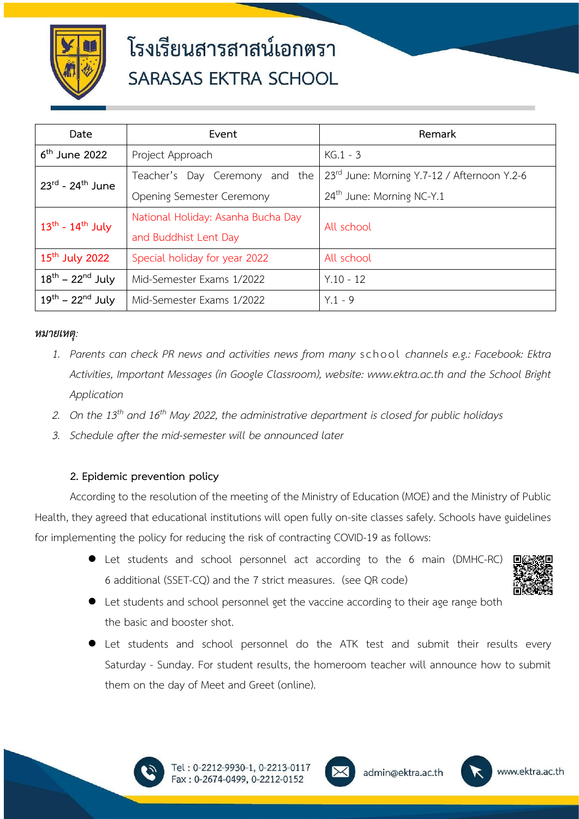

| Date                                     | Event                              | Remark                                      |  |
|------------------------------------------|------------------------------------|---------------------------------------------|--|
| $6th$ June 2022                          | Project Approach                   | $KG.1 - 3$                                  |  |
| $23^{\text{rd}}$ - $24^{\text{th}}$ June | Teacher's Day Ceremony and the     | 23rd June: Morning Y.7-12 / Afternoon Y.2-6 |  |
|                                          | Opening Semester Ceremony          | $24th$ June: Morning NC-Y.1                 |  |
| $13^{th}$ - $14^{th}$ July               | National Holiday: Asanha Bucha Day | All school                                  |  |
|                                          | and Buddhist Lent Day              |                                             |  |
| $15th$ July 2022                         | Special holiday for year 2022      | All school                                  |  |
| $18^{th}$ – $22^{nd}$ July               | Mid-Semester Exams 1/2022          | $Y.10 - 12$                                 |  |
| $19^{th}$ – $22^{nd}$ July               | Mid-Semester Exams 1/2022          | $Y.1 - 9$                                   |  |

#### *หมายเหตุ:*

- *1. Parents can check PR news and activities news from many* s chool *channels e.g.: Facebook: Ektra Activities, Important Messages (in Google Classroom), website: www.ektra.ac.th and the School Bright Application*
- *2. On the 13th and 16th May 2022, the administrative department is closed for public holidays*
- *3. Schedule after the mid-semester will be announced later*

#### **2. Epidemic prevention policy**

According to the resolution of the meeting of the Ministry of Education (MOE) and the Ministry of Public Health, they agreed that educational institutions will open fully on-site classes safely. Schools have guidelines for implementing the policy for reducing the risk of contracting COVID-19 as follows:

> ● Let students and school personnel act according to the 6 main (DMHC-RC) 6 additional (SSET-CQ) and the 7 strict measures. (see QR code)



- Let students and school personnel get the vaccine according to their age range both the basic and booster shot.
- Let students and school personnel do the ATK test and submit their results every Saturday - Sunday. For student results, the homeroom teacher will announce how to submit them on the day of Meet and Greet (online).





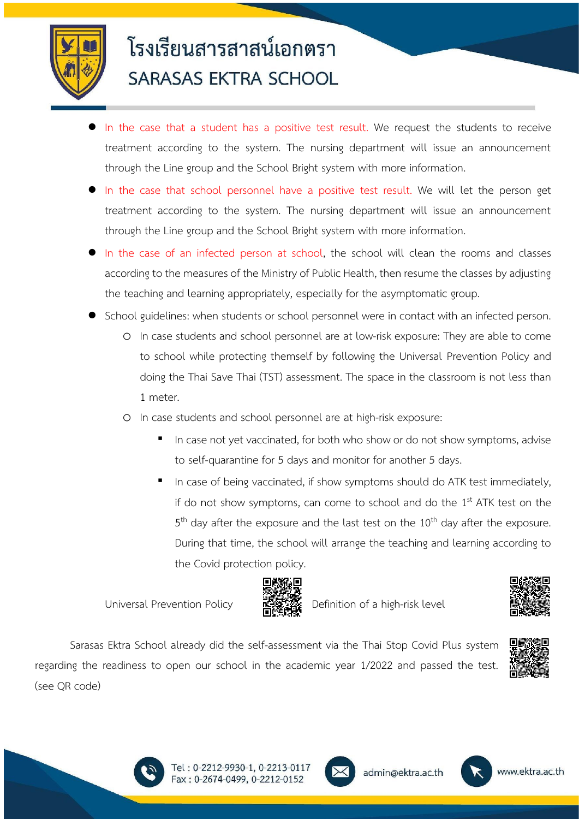

- In the case that a student has a positive test result. We request the students to receive treatment according to the system. The nursing department will issue an announcement through the Line group and the School Bright system with more information.
- In the case that school personnel have a positive test result. We will let the person get treatment according to the system. The nursing department will issue an announcement through the Line group and the School Bright system with more information.
- In the case of an infected person at school, the school will clean the rooms and classes according to the measures of the Ministry of Public Health, then resume the classes by adjusting the teaching and learning appropriately, especially for the asymptomatic group.
- School guidelines: when students or school personnel were in contact with an infected person.
	- o In case students and school personnel are at low-risk exposure: They are able to come to school while protecting themself by following the Universal Prevention Policy and doing the Thai Save Thai (TST) assessment. The space in the classroom is not less than 1 meter.
	- o In case students and school personnel are at high-risk exposure:
		- In case not yet vaccinated, for both who show or do not show symptoms, advise to self-quarantine for 5 days and monitor for another 5 days.
		- In case of being vaccinated, if show symptoms should do ATK test immediately, if do not show symptoms, can come to school and do the 1<sup>st</sup> ATK test on the 5<sup>th</sup> day after the exposure and the last test on the 10<sup>th</sup> day after the exposure. During that time, the school will arrange the teaching and learning according to the Covid protection policy.

Universal Prevention Policy  $D^2$  Definition of a high-risk level





Sarasas Ektra School already did the self-assessment via the Thai Stop Covid Plus system regarding the readiness to open our school in the academic year 1/2022 and passed the test. (see QR code)





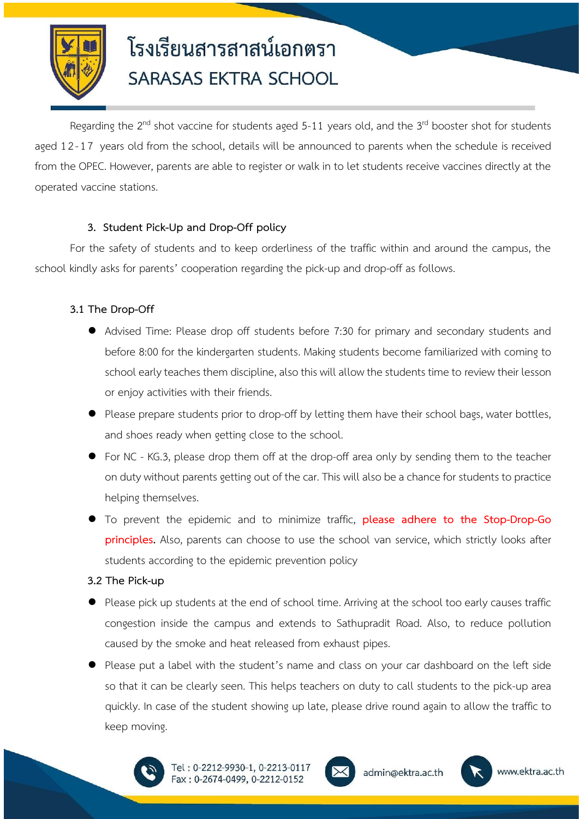

Regarding the 2<sup>nd</sup> shot vaccine for students aged 5-11 years old, and the 3<sup>rd</sup> booster shot for students aged 12-17 years old from the school, details will be announced to parents when the schedule is received from the OPEC. However, parents are able to register or walk in to let students receive vaccines directly at the operated vaccine stations.

### **3. Student Pick-Up and Drop-Off policy**

For the safety of students and to keep orderliness of the traffic within and around the campus, the school kindly asks for parents' cooperation regarding the pick-up and drop-off as follows.

#### **3.1 The Drop-Off**

- Advised Time: Please drop off students before 7:30 for primary and secondary students and before 8:00 for the kindergarten students. Making students become familiarized with coming to school early teaches them discipline, also this will allow the students time to review their lesson or enjoy activities with their friends.
- Please prepare students prior to drop-off by letting them have their school bags, water bottles, and shoes ready when getting close to the school.
- For NC KG.3, please drop them off at the drop-off area only by sending them to the teacher on duty without parents getting out of the car. This will also be a chance for students to practice helping themselves.
- To prevent the epidemic and to minimize traffic, **please adhere to the Stop-Drop-Go principles.** Also, parents can choose to use the school van service, which strictly looks after students according to the epidemic prevention policy

#### **3.2 The Pick-up**

- Please pick up students at the end of school time. Arriving at the school too early causes traffic congestion inside the campus and extends to Sathupradit Road. Also, to reduce pollution caused by the smoke and heat released from exhaust pipes.
- Please put a label with the student's name and class on your car dashboard on the left side so that it can be clearly seen. This helps teachers on duty to call students to the pick-up area quickly. In case of the student showing up late, please drive round again to allow the traffic to keep moving.





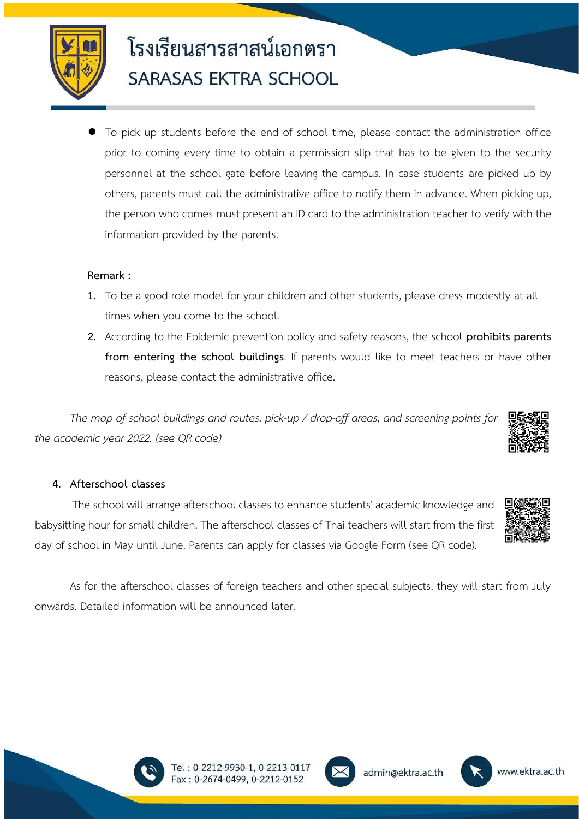

To pick up students before the end of school time, please contact the administration office prior to coming every time to obtain a permission slip that has to be given to the security personnel at the school gate before leaving the campus. In case students are picked up by others, parents must call the administrative office to notify them in advance. When picking up, the person who comes must present an ID card to the administration teacher to verify with the information provided by the parents.

#### **Remark :**

- **1.** To be a good role model for your children and other students, please dress modestly at all times when you come to the school.
- **2.** According to the Epidemic prevention policy and safety reasons, the school **prohibits parents from entering the school buildings**. If parents would like to meet teachers or have other reasons, please contact the administrative office.

*The map of school buildings and routes, pick-up / drop-off areas, and screening points for the academic year 2022. (see QR code)*

#### **4. Afterschool classes**

The school will arrange afterschool classes to enhance students' academic knowledge and babysitting hour for small children. The afterschool classes of Thai teachers will start from the first day of school in May until June. Parents can apply for classes via Google Form (see QR code).

As for the afterschool classes of foreign teachers and other special subjects, they will start from July onwards. Detailed information will be announced later.